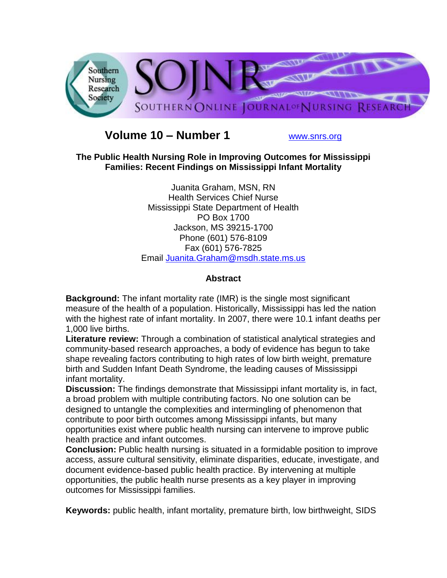

# **Volume 10 – Number 1** [www.snrs.org](http://www.snrs.org/)

## **The Public Health Nursing Role in Improving Outcomes for Mississippi Families: Recent Findings on Mississippi Infant Mortality**

Juanita Graham, MSN, RN Health Services Chief Nurse Mississippi State Department of Health PO Box 1700 Jackson, MS 39215-1700 Phone (601) 576-8109 Fax (601) 576-7825 Email [Juanita.Graham@msdh.state.ms.us](mailto:Juanita.Graham@msdh.state.ms.us)

## **Abstract**

**Background:** The infant mortality rate (IMR) is the single most significant measure of the health of a population. Historically, Mississippi has led the nation with the highest rate of infant mortality. In 2007, there were 10.1 infant deaths per 1,000 live births.

**Literature review:** Through a combination of statistical analytical strategies and community-based research approaches, a body of evidence has begun to take shape revealing factors contributing to high rates of low birth weight, premature birth and Sudden Infant Death Syndrome, the leading causes of Mississippi infant mortality.

**Discussion:** The findings demonstrate that Mississippi infant mortality is, in fact, a broad problem with multiple contributing factors. No one solution can be designed to untangle the complexities and intermingling of phenomenon that contribute to poor birth outcomes among Mississippi infants, but many opportunities exist where public health nursing can intervene to improve public health practice and infant outcomes.

**Conclusion:** Public health nursing is situated in a formidable position to improve access, assure cultural sensitivity, eliminate disparities, educate, investigate, and document evidence-based public health practice. By intervening at multiple opportunities, the public health nurse presents as a key player in improving outcomes for Mississippi families.

**Keywords:** public health, infant mortality, premature birth, low birthweight, SIDS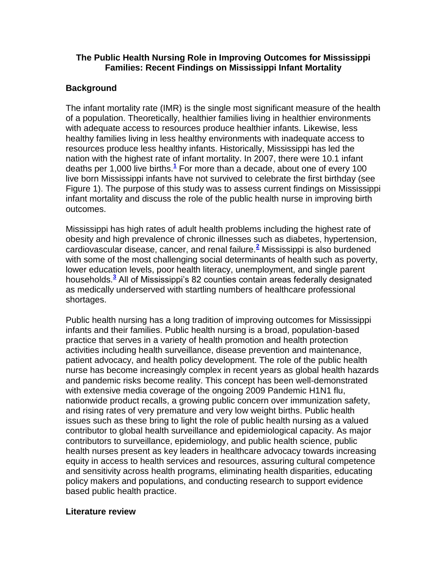#### **The Public Health Nursing Role in Improving Outcomes for Mississippi Families: Recent Findings on Mississippi Infant Mortality**

## **Background**

The infant mortality rate (IMR) is the single most significant measure of the health of a population. Theoretically, healthier families living in healthier environments with adequate access to resources produce healthier infants. Likewise, less healthy families living in less healthy environments with inadequate access to resources produce less healthy infants. Historically, Mississippi has led the nation with the highest rate of infant mortality. In 2007, there were 10.1 infant deaths per 1,000 live births.**[1](http://snrs.org/publications/SOJNR_articles2/n)** For more than a decade, about one of every 100 live born Mississippi infants have not survived to celebrate the first birthday (see Figure 1). The purpose of this study was to assess current findings on Mississippi infant mortality and discuss the role of the public health nurse in improving birth outcomes.

Mississippi has high rates of adult health problems including the highest rate of obesity and high prevalence of chronic illnesses such as diabetes, hypertension, cardiovascular disease, cancer, and renal failure.**[2](http://snrs.org/publications/SOJNR_articles2/n)** Mississippi is also burdened with some of the most challenging social determinants of health such as poverty, lower education levels, poor health literacy, unemployment, and single parent households[.](http://snrs.org/publications/SOJNR_articles2/n)**<sup>3</sup>** All of Mississippi's 82 counties contain areas federally designated as medically underserved with startling numbers of healthcare professional shortages.

Public health nursing has a long tradition of improving outcomes for Mississippi infants and their families. Public health nursing is a broad, population-based practice that serves in a variety of health promotion and health protection activities including health surveillance, disease prevention and maintenance, patient advocacy, and health policy development. The role of the public health nurse has become increasingly complex in recent years as global health hazards and pandemic risks become reality. This concept has been well-demonstrated with extensive media coverage of the ongoing 2009 Pandemic H1N1 flu, nationwide product recalls, a growing public concern over immunization safety, and rising rates of very premature and very low weight births. Public health issues such as these bring to light the role of public health nursing as a valued contributor to global health surveillance and epidemiological capacity. As major contributors to surveillance, epidemiology, and public health science, public health nurses present as key leaders in healthcare advocacy towards increasing equity in access to health services and resources, assuring cultural competence and sensitivity across health programs, eliminating health disparities, educating policy makers and populations, and conducting research to support evidence based public health practice.

#### **Literature review**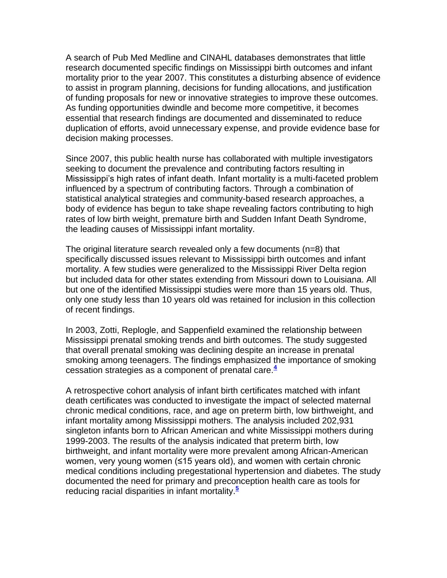A search of Pub Med Medline and CINAHL databases demonstrates that little research documented specific findings on Mississippi birth outcomes and infant mortality prior to the year 2007. This constitutes a disturbing absence of evidence to assist in program planning, decisions for funding allocations, and justification of funding proposals for new or innovative strategies to improve these outcomes. As funding opportunities dwindle and become more competitive, it becomes essential that research findings are documented and disseminated to reduce duplication of efforts, avoid unnecessary expense, and provide evidence base for decision making processes.

Since 2007, this public health nurse has collaborated with multiple investigators seeking to document the prevalence and contributing factors resulting in Mississippi's high rates of infant death. Infant mortality is a multi-faceted problem influenced by a spectrum of contributing factors. Through a combination of statistical analytical strategies and community-based research approaches, a body of evidence has begun to take shape revealing factors contributing to high rates of low birth weight, premature birth and Sudden Infant Death Syndrome, the leading causes of Mississippi infant mortality.

The original literature search revealed only a few documents (n=8) that specifically discussed issues relevant to Mississippi birth outcomes and infant mortality. A few studies were generalized to the Mississippi River Delta region but included data for other states extending from Missouri down to Louisiana. All but one of the identified Mississippi studies were more than 15 years old. Thus, only one study less than 10 years old was retained for inclusion in this collection of recent findings.

In 2003, Zotti, Replogle, and Sappenfield examined the relationship between Mississippi prenatal smoking trends and birth outcomes. The study suggested that overall prenatal smoking was declining despite an increase in prenatal smoking among teenagers. The findings emphasized the importance of smoking cessation strategies as a component of prenatal care.**[4](http://snrs.org/publications/SOJNR_articles2/n)**

A retrospective cohort analysis of infant birth certificates matched with infant death certificates was conducted to investigate the impact of selected maternal chronic medical conditions, race, and age on preterm birth, low birthweight, and infant mortality among Mississippi mothers. The analysis included 202,931 singleton infants born to African American and white Mississippi mothers during 1999-2003. The results of the analysis indicated that preterm birth, low birthweight, and infant mortality were more prevalent among African-American women, very young women (≤15 years old), and women with certain chronic medical conditions including pregestational hypertension and diabetes. The study documented the need for primary and preconception health care as tools for reducing racial disparities in infant mortality.**[5](http://snrs.org/publications/SOJNR_articles2/n)**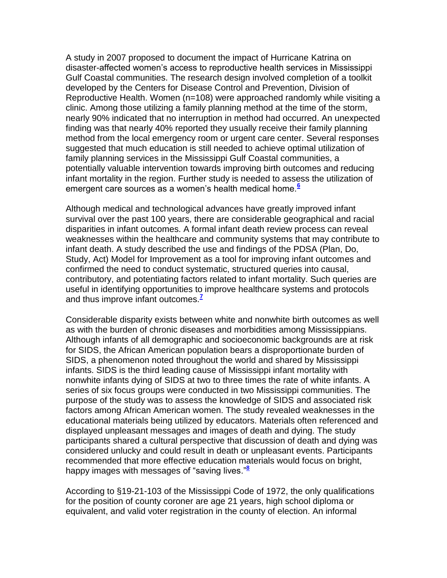A study in 2007 proposed to document the impact of Hurricane Katrina on disaster-affected women's access to reproductive health services in Mississippi Gulf Coastal communities. The research design involved completion of a toolkit developed by the Centers for Disease Control and Prevention, Division of Reproductive Health. Women (n=108) were approached randomly while visiting a clinic. Among those utilizing a family planning method at the time of the storm, nearly 90% indicated that no interruption in method had occurred. An unexpected finding was that nearly 40% reported they usually receive their family planning method from the local emergency room or urgent care center. Several responses suggested that much education is still needed to achieve optimal utilization of family planning services in the Mississippi Gulf Coastal communities, a potentially valuable intervention towards improving birth outcomes and reducing infant mortality in the region. Further study is needed to assess the utilization of emergent care sources as a women's health medical home.**[6](http://snrs.org/publications/SOJNR_articles2/n)**

Although medical and technological advances have greatly improved infant survival over the past 100 years, there are considerable geographical and racial disparities in infant outcomes. A formal infant death review process can reveal weaknesses within the healthcare and community systems that may contribute to infant death. A study described the use and findings of the PDSA (Plan, Do, Study, Act) Model for Improvement as a tool for improving infant outcomes and confirmed the need to conduct systematic, structured queries into causal, contributory, and potentiating factors related to infant mortality. Such queries are useful in identifying opportunities to improve healthcare systems and protocols and thus improve infant outcomes.**[7](http://snrs.org/publications/SOJNR_articles2/n)**

Considerable disparity exists between white and nonwhite birth outcomes as well as with the burden of chronic diseases and morbidities among Mississippians. Although infants of all demographic and socioeconomic backgrounds are at risk for SIDS, the African American population bears a disproportionate burden of SIDS, a phenomenon noted throughout the world and shared by Mississippi infants. SIDS is the third leading cause of Mississippi infant mortality with nonwhite infants dying of SIDS at two to three times the rate of white infants. A series of six focus groups were conducted in two Mississippi communities. The purpose of the study was to assess the knowledge of SIDS and associated risk factors among African American women. The study revealed weaknesses in the educational materials being utilized by educators. Materials often referenced and displayed unpleasant messages and images of death and dying. The study participants shared a cultural perspective that discussion of death and dying was considered unlucky and could result in death or unpleasant events. Participants recommended that more effective education materials would focus on bright, happy images with messages of "saving lives."**[8](http://snrs.org/publications/SOJNR_articles2/n)**

According to §19-21-103 of the Mississippi Code of 1972, the only qualifications for the position of county coroner are age 21 years, high school diploma or equivalent, and valid voter registration in the county of election. An informal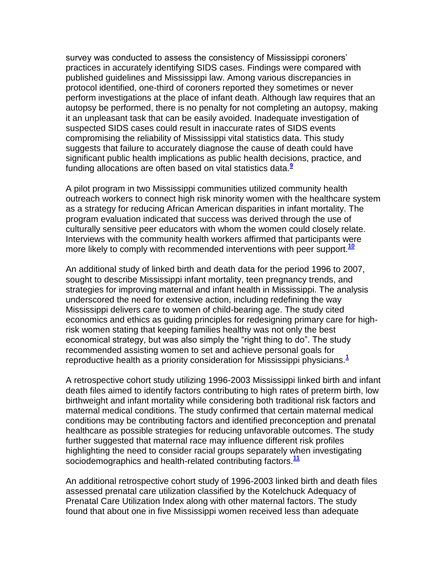survey was conducted to assess the consistency of Mississippi coroners' practices in accurately identifying SIDS cases. Findings were compared with published guidelines and Mississippi law. Among various discrepancies in protocol identified, one-third of coroners reported they sometimes or never perform investigations at the place of infant death. Although law requires that an autopsy be performed, there is no penalty for not completing an autopsy, making it an unpleasant task that can be easily avoided. Inadequate investigation of suspected SIDS cases could result in inaccurate rates of SIDS events compromising the reliability of Mississippi vital statistics data. This study suggests that failure to accurately diagnose the cause of death could have significant public health implications as public health decisions, practice, and funding allocations are often based on vital statistics data.**[9](http://snrs.org/publications/SOJNR_articles2/n)**

A pilot program in two Mississippi communities utilized community health outreach workers to connect high risk minority women with the healthcare system as a strategy for reducing African American disparities in infant mortality. The program evaluation indicated that success was derived through the use of culturally sensitive peer educators with whom the women could closely relate. Interviews with the community health workers affirmed that participants were more likely to comply with recommended interventions with peer support.**[10](http://snrs.org/publications/SOJNR_articles2/n)**

An additional study of linked birth and death data for the period 1996 to 2007, sought to describe Mississippi infant mortality, teen pregnancy trends, and strategies for improving maternal and infant health in Mississippi. The analysis underscored the need for extensive action, including redefining the way Mississippi delivers care to women of child-bearing age. The study cited economics and ethics as guiding principles for redesigning primary care for highrisk women stating that keeping families healthy was not only the best economical strategy, but was also simply the "right thing to do". The study recommended assisting women to set and achieve personal goals for reproductive health as a priority consideration for Mississippi physicians.**[1](http://snrs.org/publications/SOJNR_articles2/n)**

A retrospective cohort study utilizing 1996-2003 Mississippi linked birth and infant death files aimed to identify factors contributing to high rates of preterm birth, low birthweight and infant mortality while considering both traditional risk factors and maternal medical conditions. The study confirmed that certain maternal medical conditions may be contributing factors and identified preconception and prenatal healthcare as possible strategies for reducing unfavorable outcomes. The study further suggested that maternal race may influence different risk profiles highlighting the need to consider racial groups separately when investigating sociodemographics and health-related contributing factors.**[11](http://snrs.org/publications/SOJNR_articles2/n)**

An additional retrospective cohort study of 1996-2003 linked birth and death files assessed prenatal care utilization classified by the Kotelchuck Adequacy of Prenatal Care Utilization Index along with other maternal factors. The study found that about one in five Mississippi women received less than adequate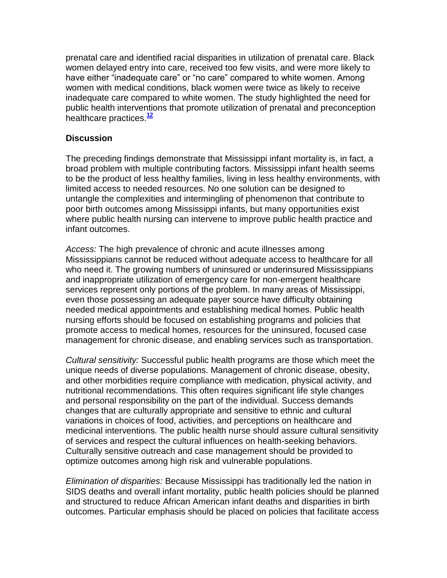prenatal care and identified racial disparities in utilization of prenatal care. Black women delayed entry into care, received too few visits, and were more likely to have either "inadequate care" or "no care" compared to white women. Among women with medical conditions, black women were twice as likely to receive inadequate care compared to white women. The study highlighted the need for public health interventions that promote utilization of prenatal and preconception healthcare practices.**[12](http://snrs.org/publications/SOJNR_articles2/n)**

## **Discussion**

The preceding findings demonstrate that Mississippi infant mortality is, in fact, a broad problem with multiple contributing factors. Mississippi infant health seems to be the product of less healthy families, living in less healthy environments, with limited access to needed resources. No one solution can be designed to untangle the complexities and intermingling of phenomenon that contribute to poor birth outcomes among Mississippi infants, but many opportunities exist where public health nursing can intervene to improve public health practice and infant outcomes.

*Access:* The high prevalence of chronic and acute illnesses among Mississippians cannot be reduced without adequate access to healthcare for all who need it. The growing numbers of uninsured or underinsured Mississippians and inappropriate utilization of emergency care for non-emergent healthcare services represent only portions of the problem. In many areas of Mississippi, even those possessing an adequate payer source have difficulty obtaining needed medical appointments and establishing medical homes. Public health nursing efforts should be focused on establishing programs and policies that promote access to medical homes, resources for the uninsured, focused case management for chronic disease, and enabling services such as transportation.

*Cultural sensitivity:* Successful public health programs are those which meet the unique needs of diverse populations. Management of chronic disease, obesity, and other morbidities require compliance with medication, physical activity, and nutritional recommendations. This often requires significant life style changes and personal responsibility on the part of the individual. Success demands changes that are culturally appropriate and sensitive to ethnic and cultural variations in choices of food, activities, and perceptions on healthcare and medicinal interventions. The public health nurse should assure cultural sensitivity of services and respect the cultural influences on health-seeking behaviors. Culturally sensitive outreach and case management should be provided to optimize outcomes among high risk and vulnerable populations.

*Elimination of disparities:* Because Mississippi has traditionally led the nation in SIDS deaths and overall infant mortality, public health policies should be planned and structured to reduce African American infant deaths and disparities in birth outcomes. Particular emphasis should be placed on policies that facilitate access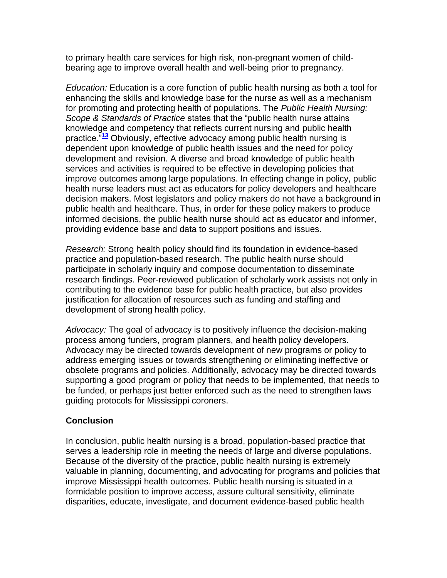to primary health care services for high risk, non-pregnant women of childbearing age to improve overall health and well-being prior to pregnancy.

*Education:* Education is a core function of public health nursing as both a tool for enhancing the skills and knowledge base for the nurse as well as a mechanism for promoting and protecting health of populations. The *Public Health Nursing: Scope & Standards of Practice* states that the "public health nurse attains knowledge and competency that reflects current nursing and public health practice."**[13](http://snrs.org/publications/SOJNR_articles2/n)** Obviously, effective advocacy among public health nursing is dependent upon knowledge of public health issues and the need for policy development and revision. A diverse and broad knowledge of public health services and activities is required to be effective in developing policies that improve outcomes among large populations. In effecting change in policy, public health nurse leaders must act as educators for policy developers and healthcare decision makers. Most legislators and policy makers do not have a background in public health and healthcare. Thus, in order for these policy makers to produce informed decisions, the public health nurse should act as educator and informer, providing evidence base and data to support positions and issues.

*Research:* Strong health policy should find its foundation in evidence-based practice and population-based research. The public health nurse should participate in scholarly inquiry and compose documentation to disseminate research findings. Peer-reviewed publication of scholarly work assists not only in contributing to the evidence base for public health practice, but also provides justification for allocation of resources such as funding and staffing and development of strong health policy.

*Advocacy:* The goal of advocacy is to positively influence the decision-making process among funders, program planners, and health policy developers. Advocacy may be directed towards development of new programs or policy to address emerging issues or towards strengthening or eliminating ineffective or obsolete programs and policies. Additionally, advocacy may be directed towards supporting a good program or policy that needs to be implemented, that needs to be funded, or perhaps just better enforced such as the need to strengthen laws guiding protocols for Mississippi coroners.

#### **Conclusion**

In conclusion, public health nursing is a broad, population-based practice that serves a leadership role in meeting the needs of large and diverse populations. Because of the diversity of the practice, public health nursing is extremely valuable in planning, documenting, and advocating for programs and policies that improve Mississippi health outcomes. Public health nursing is situated in a formidable position to improve access, assure cultural sensitivity, eliminate disparities, educate, investigate, and document evidence-based public health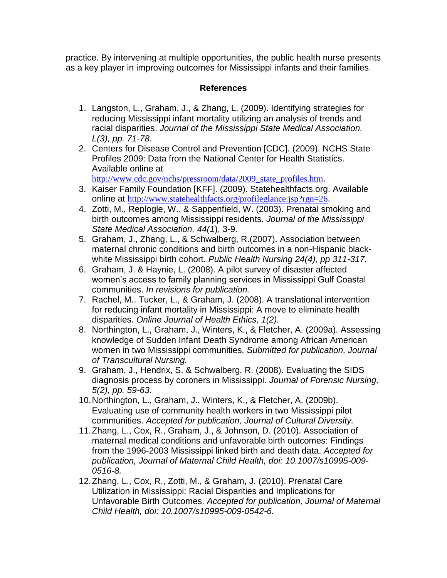practice. By intervening at multiple opportunities, the public health nurse presents as a key player in improving outcomes for Mississippi infants and their families.

## **References**

- 1. Langston, L., Graham, J., & Zhang, L. (2009). Identifying strategies for reducing Mississippi infant mortality utilizing an analysis of trends and racial disparities. *Journal of the Mississippi State Medical Association. L(3), pp. 71-78*.
- 2. Centers for Disease Control and Prevention [CDC]. (2009). NCHS State Profiles 2009: Data from the National Center for Health Statistics. Available online at

[http://www.cdc.gov/nchs/pressroom/data/2009\\_state\\_profiles.htm](http://www.cdc.gov/nchs/pressroom/data/2009_state_profiles.htm).

- 3. Kaiser Family Foundation [KFF]. (2009). Statehealthfacts.org. Available online at <http://www.statehealthfacts.org/profileglance.jsp?rgn=26>.
- 4. Zotti, M., Replogle, W., & Sappenfield, W. (2003). Prenatal smoking and birth outcomes among Mississippi residents. *Journal of the Mississippi State Medical Association, 44(1*), 3-9.
- 5. Graham, J., Zhang, L., & Schwalberg, R.(2007). Association between maternal chronic conditions and birth outcomes in a non-Hispanic blackwhite Mississippi birth cohort. *Public Health Nursing 24(4), pp 311-317.*
- 6. Graham, J. & Haynie, L. (2008). A pilot survey of disaster affected women's access to family planning services in Mississippi Gulf Coastal communities. *In revisions for publication.*
- 7. Rachel, M.. Tucker, L., & Graham, J. (2008). A translational intervention for reducing infant mortality in Mississippi: A move to eliminate health disparities. *Online Journal of Health Ethics, 1(2).*
- 8. Northington, L., Graham, J., Winters, K., & Fletcher, A. (2009a). Assessing knowledge of Sudden Infant Death Syndrome among African American women in two Mississippi communities. *Submitted for publication, Journal of Transcultural Nursing.*
- 9. Graham, J., Hendrix, S. & Schwalberg, R. (2008). Evaluating the SIDS diagnosis process by coroners in Mississippi. *Journal of Forensic Nursing, 5(2), pp. 59-63.*
- 10.Northington, L., Graham, J., Winters, K., & Fletcher, A. (2009b). Evaluating use of community health workers in two Mississippi pilot communities. *Accepted for publication, Journal of Cultural Diversity.*
- 11.Zhang, L., Cox, R., Graham, J., & Johnson, D. (2010). Association of maternal medical conditions and unfavorable birth outcomes: Findings from the 1996-2003 Mississippi linked birth and death data. *Accepted for publication, Journal of Maternal Child Health, doi: 10.1007/s10995-009- 0516-8.*
- 12.Zhang, L., Cox, R., Zotti, M., & Graham, J. (2010). Prenatal Care Utilization in Mississippi: Racial Disparities and Implications for Unfavorable Birth Outcomes. *Accepted for publication, Journal of Maternal Child Health, doi: 10.1007/s10995-009-0542-6.*